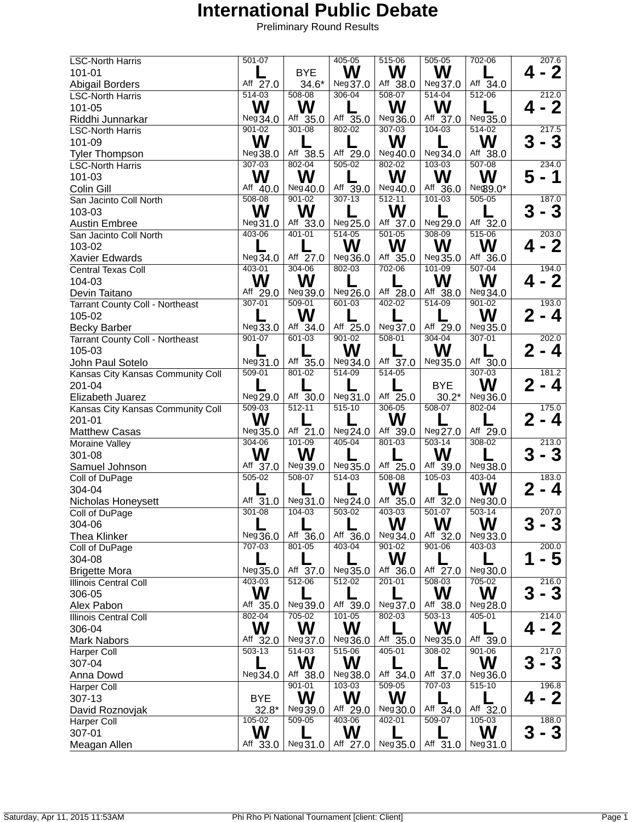| <b>LSC-North Harris</b>           | $501 - 07$             |                        | $405 - 05$             | $515-06$               | $505 - 05$             | 702-06                 | 207.6                   |
|-----------------------------------|------------------------|------------------------|------------------------|------------------------|------------------------|------------------------|-------------------------|
| 101-01                            |                        | <b>BYE</b>             | W                      | W                      | W                      |                        | - 2<br>4                |
| <b>Abigail Borders</b>            | Aff $\overline{27.0}$  | $34.6*$                | Neg37.0                | Aff $38.0$             | Neg37.0                | Aff 34.0               |                         |
| <b>LSC-North Harris</b>           | 514-03                 | $508 - 08$             | 306-04                 | $508 - 07$             | $514 - 04$             | $512 - 06$             | 212.0                   |
| 101-05                            | W                      | W                      |                        | W                      | W                      |                        | - 2<br>4                |
| Riddhi Junnarkar                  | Neg 34.0               | Aff 35.0               | Aff 35.0               | Neg 36.0               | Aff 37.0               | Neg 35.0               |                         |
| <b>LSC-North Harris</b>           | 901-02                 | 301-08                 | 802-02                 | $307 - 03$             | 104-03                 | 514-02                 | 217.5                   |
| 101-09                            | W                      |                        |                        | W                      |                        | W                      | - 3<br>3                |
| <b>Tyler Thompson</b>             | Neg 38.0               | Aff 38.5               | Aff 29.0               | Neg 40.0               | Neg 34.0               | Aff 38.0               |                         |
| <b>LSC-North Harris</b>           | $307 - 03$             | $802 - 04$             | $505-02$               | 802-02                 | $103 - 03$             | $507 - 08$             | 234.0                   |
| 101-03                            | W                      | W                      |                        | W                      | W                      | W                      | 5<br>1                  |
| Colin Gill                        | Aff 40.0               | Neg40.0                | Aff 39.0               | Neg 40.0               | Aff 36.0               | $Neg9.0*$              |                         |
| San Jacinto Coll North            | 508-08                 | $901 - 02$             | $307 - 13$             | 512-11                 | $101 - 03$             | $505 - 05$             | 187.0                   |
|                                   | W                      | W                      |                        | W                      |                        |                        | 3                       |
| 103-03                            |                        |                        |                        |                        |                        |                        | - 3                     |
| <b>Austin Embree</b>              | Neg31.0<br>403-06      | Aff 33.0<br>$401 - 01$ | Neg 25.0<br>$514 - 05$ | Aff 37.0<br>$501 - 05$ | Neg 29.0<br>308-09     | Aff 32.0<br>515-06     | 203.0                   |
| San Jacinto Coll North            |                        |                        |                        |                        |                        |                        |                         |
| 103-02                            |                        |                        | W                      | W                      | W                      | W                      | <b>2</b><br>4           |
| Xavier Edwards                    | Neg 34.0               | Aff $27.0$             | Neg 36.0               | Aff 35.0               | Neg 35.0               | Aff 36.0               |                         |
| <b>Central Texas Coll</b>         | $403 - 01$             | 304-06                 | 802-03                 | 702-06                 | $101 - 09$             | $507 - 04$             | 194.0                   |
| 104-03                            | W                      | W                      |                        |                        | W                      | W                      | - 2                     |
| Devin Taitano                     | Aff 29.0               | Neg39.0                | Neg 26.0               | Aff 28.0               | Aff 38.0               | Neg 34.0               |                         |
| Tarrant County Coll - Northeast   | $307 - 01$             | $509 - 01$             | $601 - 03$             | $402 - 02$             | $514 - 09$             | $901 - 02$             | 193.0                   |
| 105-02                            |                        | W                      |                        |                        |                        | W                      | 2<br>4                  |
| <b>Becky Barber</b>               | Neg 33.0               | Aff 34.0               | Aff 25.0               | Neg 37.0               | Aff 29.0               | Neg 35.0               |                         |
| Tarrant County Coll - Northeast   | $901 - 07$             | 601-03                 | $901 - 02$             | $508 - 01$             | $304 - 04$             | $307 - 01$             | 202.0                   |
| 105-03                            |                        |                        | W                      |                        | W                      |                        | $\mathbf{2}$<br>4       |
| John Paul Sotelo                  | Neg 31.0               | Aff 35.0               | Neg 34.0               | Aff 37.0               | Neg 35.0               | Aff 30.0               |                         |
| Kansas City Kansas Community Coll | $509 - 01$             | 801-02                 | 514-09                 | 514-05                 |                        | $307 - 03$             | 181.2                   |
| 201-04                            |                        |                        |                        |                        | <b>BYE</b>             | W                      | 2<br>- 4                |
| Elizabeth Juarez                  | Neg 29.0               | Aff 30.0               | Neg31.0                | Aff 25.0               | $30.2*$                | Neg36.0                |                         |
| Kansas City Kansas Community Coll | $509 - 03$             | $512 - 11$             | $515-10$               | $306 - 05$             | $508-07$               | 802-04                 | 175.0                   |
| 201-01                            | W                      |                        |                        | W                      |                        |                        | $\bf{2}$<br>- 4         |
| <b>Matthew Casas</b>              | Neg 35.0               | Aff 21.0               | Neg 24.0               | Aff 39.0               | Neg 27.0               | Aff 29.0               |                         |
| Moraine Valley                    | $304 - 06$             | $101 - 09$             | $405 - 04$             | $801 - 03$             | $503 - 14$             | $308 - 02$             | 213.0                   |
| 301-08                            | W                      | W                      |                        |                        | W                      |                        | 3<br>- 3                |
| Samuel Johnson                    | Aff 37.0               | Neg 39.0               | Neg 35.0               | Aff $\overline{25.0}$  | Aff 39.0               | Neg 38.0               |                         |
| Coll of DuPage                    | $505 - 02$             | 508-07                 | $514-03$               | 508-08                 | $105 - 03$             | 403-04                 | 183.0                   |
|                                   |                        |                        |                        | W                      |                        | W                      |                         |
| 304-04                            |                        |                        |                        |                        |                        |                        | 4                       |
| Nicholas Honeysett                | Aff 31.0<br>$301 - 08$ | Neg31.0<br>$104 - 03$  | Neg 24.0<br>503-02     | Aff 35.0<br>403-03     | Aff 32.0<br>$501 - 07$ | Neg 30.0<br>$503 - 14$ | 207.0                   |
| Coll of DuPage                    |                        |                        |                        |                        |                        |                        |                         |
| 304-06                            |                        |                        |                        | W                      | W                      | W                      | 3<br>- 3                |
| <b>Thea Klinker</b>               | Neg 36.0               | Aff 36.0               | Aff 36.0               | Neg 34.0               | Aff 32.0               | Neg33.0                |                         |
| Coll of DuPage                    | 707-03                 | $801 - 05$             | 403-04                 | $901 - 02$             | $901 - 06$             | 403-03                 | 200.0                   |
| 304-08                            |                        |                        |                        | W                      |                        |                        | $\overline{\mathbf{5}}$ |
| <b>Brigette Mora</b>              | Neg 35.0               | Aff 37.0               | Neg 35.0               | Aff 36.0               | Aff 27.0               | Neg 30.0               |                         |
| Illinois Central Coll             | 403-03                 | $512 - 06$             | $512 - 02$             | $201 - 01$             | 508-03                 | $705 - 02$             | 216.0                   |
| 306-05                            | W                      |                        |                        |                        | W                      | W                      | 3<br>- 3                |
| Alex Pabon                        | Aff 35.0               | Neg 39.0               | Aff 39.0               | Neg 37.0               | Aff 38.0               | Neg 28.0               |                         |
| Illinois Central Coll             | $802 - 04$             | 705-02                 | $101 - 05$             | 802-03                 | $503-13$               | 405-01                 | 214.0                   |
| 306-04                            | W                      | W                      | W                      |                        | W                      |                        | - 2                     |
| <b>Mark Nabors</b>                | Aff 32.0               | Neg 37.0               | Neg 36.0               | Aff 35.0               | Neg 35.0               | Aff 39.0               |                         |
| Harper Coll                       | $503 - 13$             | $514 - 03$             | $515-06$               | $405 - 01$             | 308-02                 | $901 - 06$             | 217.0                   |
| 307-04                            |                        | W                      | W                      |                        |                        | W                      | 3<br>- 3                |
| Anna Dowd                         | Neg 34.0               | Aff 38.0               | Neg 38.0               | Aff 34.0               | Aff 37.0               | Neg 36.0               |                         |
| Harper Coll                       |                        | $901 - 01$             | 103-03                 | $509 - 05$             | 707-03                 | $515 - 10$             | 196.8                   |
| 307-13                            | <b>BYE</b>             | W                      | W                      | W                      |                        |                        | - 2                     |
| David Roznovjak                   | $32.8*$                | Neg39.0                | Aff 29.0               | Neg 30.0               | Aff 34.0               | Aff $32.0$             |                         |
| Harper Coll                       | 105-02                 | 509-05                 | 403-06                 | 402-01                 | 509-07                 | $105 - 03$             | 188.0                   |
| 307-01                            | W                      |                        | W                      |                        |                        | W                      | 3<br>- 3                |
|                                   |                        |                        |                        |                        | Aff 31.0               |                        |                         |
| Meagan Allen                      | Aff 33.0               | Neg31.0                | Aff 27.0               | Neg 35.0               |                        | Neg31.0                |                         |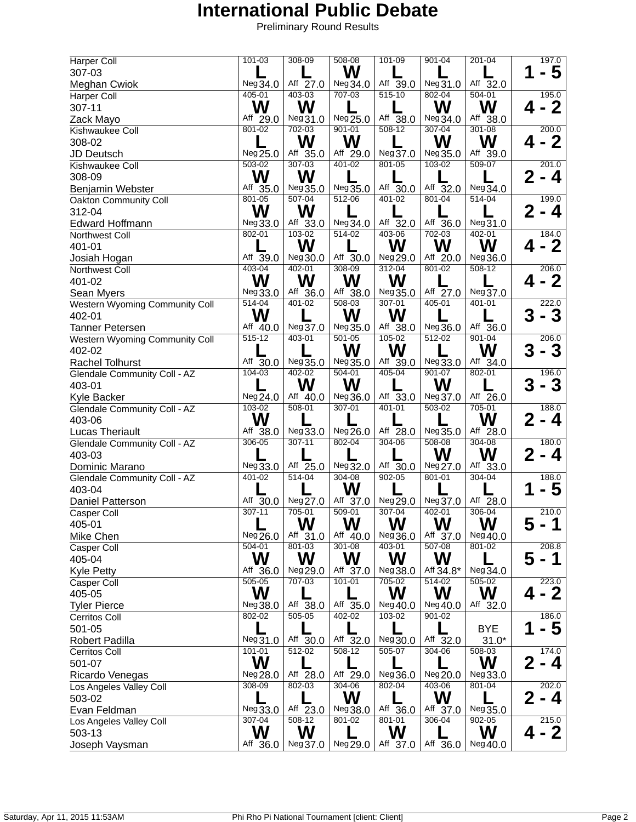| Harper Coll                      | $101 - 03$             | 308-09             | $508 - 08$             | $101 - 09$         | $901 - 04$             | $201 - 04$             | 197.0                   |
|----------------------------------|------------------------|--------------------|------------------------|--------------------|------------------------|------------------------|-------------------------|
| 307-03                           |                        |                    | W                      |                    |                        |                        | - 5                     |
| Meghan Cwiok                     | Neg34.0                | Aff 27.0           | Neg 34.0               | Aff $39.0$         | Neg 31.0               | Aff 32.0               |                         |
| Harper Coll                      | 405-01                 | $403 - 03$         | 707-03                 | $515-10$           | 802-04                 | 504-01                 | 195.0                   |
| 307-11                           | W                      | W                  |                        |                    | W                      | W                      | - 2<br>4                |
| Zack Mayo                        | Aff 29.0               | Neg31.0            | Neg 25.0               | Aff $38.0$         | Neg 34.0               | Aff 38.0               |                         |
| Kishwaukee Coll                  | 801-02                 | $702 - 03$         | $901 - 01$             | 508-12             | 307-04                 | $301 - 08$             | 200.0                   |
| 308-02                           |                        | W                  | W                      |                    | W                      | W                      | $\mathbf 2$             |
| JD Deutsch                       | Neg 25.0               | Aff 35.0           | Aff 29.0               | Neg37.0            | Neg 35.0               | Aff 39.0               |                         |
| Kishwaukee Coll                  | $503 - 02$             | $307 - 03$         | $401 - 02$             | 801-05             | 103-02                 | $509-07$               | 201.0                   |
| 308-09                           | W                      | W                  |                        |                    |                        |                        | $\mathbf{2}$<br>- 4     |
| Benjamin Webster                 | Aff 35.0               | Neg 35.0           | Neg 35.0               | Aff 30.0           | Aff 32.0               | Neg 34.0               |                         |
| Oakton Community Coll            | 801-05                 | $507 - 04$         | $512 - 06$             | $401 - 02$         | $801 - 04$             | $514 - 04$             | 199.0                   |
| 312-04                           | W                      | W                  |                        |                    |                        |                        | $\mathbf{2}$<br>- 4     |
| Edward Hoffmann                  | Neg33.0                | Aff 33.0           | Neg 34.0               | Aff 32.0           | Aff 36.0               | Neg31.0                |                         |
| Northwest Coll                   | $802 - 01$             | $103 - 02$         | $514 - 02$             | 403-06             | 702-03                 | $402 - 01$             | 184.0                   |
| 401-01                           |                        | W                  |                        | W                  | W                      | W                      | <b>2</b><br>4           |
| Josiah Hogan                     | Aff 39.0               | Neg 30.0           | Aff $30.0$             | Neg 29.0           | Aff 20.0               | Neg 36.0               |                         |
| Northwest Coll                   | 403-04                 | 402-01             | 308-09                 | $312 - 04$         | 801-02                 | $508 - 12$             | 206.0                   |
| 401-02                           | W                      | W                  | W                      | W                  |                        |                        | - 2<br>4                |
| Sean Myers                       | Neg 33.0               | Aff 36.0           | Aff 38.0               | Neg35.0            | Aff 27.0               | Neg 37.0               |                         |
| Western Wyoming Community Coll   | $514 - 04$             | $401 - 02$         | $508 - 03$             | $307 - 01$         | $405 - 01$             | 401-01                 | 222.0                   |
| 402-01                           | W                      |                    | W                      | W                  |                        |                        | 3<br>- 3                |
| <b>Tanner Petersen</b>           | Aff 40.0               | Neg 37.0           | Neg 35.0               | Aff 38.0           | Neg 36.0               | Aff 36.0               |                         |
| Western Wyoming Community Coll   | $515 - 12$             | 403-01             | $501 - 05$             | $105 - 02$         | $512 - 02$             | $901 - 04$             | 206.0                   |
| 402-02                           |                        |                    | W                      | W                  |                        | W                      | 3<br>- 3                |
| <b>Rachel Tolhurst</b>           | Aff 30.0               | Neg35.0            | Neg 35.0               | Aff 39.0           | Neg 33.0               | Aff 34.0               |                         |
| Glendale Community Coll - AZ     | $104 - 03$             | $402 - 02$         | $504 - 01$             | 405-04             | 901-07                 | $802 - 01$             | 196.0                   |
| 403-01                           |                        | W                  | W                      |                    | W                      |                        | 3<br>3                  |
| Kyle Backer                      | Neg 24.0               | Aff 40.0           | Neg 36.0               | Aff 33.0           | Neg 37.0               | Aff 26.0               |                         |
| Glendale Community Coll - AZ     | 103-02                 | $508 - 01$         | 307-01                 | $401 - 01$         | 503-02                 | $705 - 01$             | 188.0                   |
| 403-06                           | W                      |                    |                        |                    |                        | W                      | 2<br>- 4                |
| <b>Lucas Theriault</b>           | Aff 38.0               | Neg 33.0           | Neg 26.0               | Aff 28.0           | Neg 35.0               | Aff 28.0               |                         |
| Glendale Community Coll - AZ     | 306-05                 | $307 - 11$         | $802 - 04$             | $304 - 06$         | $508 - 08$             | $304 - 08$             | 180.0                   |
| 403-03                           |                        |                    |                        |                    | W                      | W                      | $\bf{2}$<br>- 4         |
| Dominic Marano                   | Neg 33.0               | Aff 25.0           | Neg 32.0               | Aff 30.0           | Neg 27.0               | Aff 33.0               |                         |
| Glendale Community Coll - AZ     | 401-02                 | $514 - 04$         | $304 - 08$             | $902 - 05$         | 801-01                 | $304 - 04$             | 188.0                   |
| 403-04                           |                        |                    | W                      |                    |                        |                        | 5                       |
| Daniel Patterson                 | Aff 30.0<br>$307 - 11$ | Neg 27.0<br>705-01 | Aff 37.0               | Neg 29.0<br>307-04 | Neg 37.0<br>402-01     | Aff 28.0<br>306-04     |                         |
| Casper Coll                      |                        |                    | 509-01                 |                    |                        |                        | 210.0                   |
| 405-01                           |                        | W                  | W                      | W                  | W                      | W                      |                         |
| Mike Chen                        | Neg 26.0<br>$504 - 01$ | Aff 31.0<br>801-03 | Aff 40.0<br>$301 - 08$ | Neg 36.0<br>403-01 | Aff 37.0<br>$507 - 08$ | Neg 40.0<br>$801 - 02$ | 208.8                   |
| Casper Coll                      | W                      | W                  | W                      | W                  | W                      |                        | 5<br>$\mathbf 1$        |
| 405-04                           | Aff 36.0               | Neg 29.0           | Aff 37.0               | Neg 38.0           | Aff 34.8*              | Neg 34.0               |                         |
| <b>Kyle Petty</b><br>Casper Coll | $505 - 05$             | 707-03             | $101 - 01$             | 705-02             | $514 - 02$             | $505 - 02$             | 223.0                   |
| 405-05                           | W                      |                    |                        | W                  | W                      | W                      | 2<br>4                  |
| <b>Tyler Pierce</b>              | Neg 38.0               | Aff 38.0           | Aff 35.0               | Neg40.0            | Neg 40.0               | Aff 32.0               |                         |
| Cerritos Coll                    | 802-02                 | 505-05             | 402-02                 | 103-02             | 901-02                 |                        | 186.0                   |
| 501-05                           |                        |                    |                        |                    |                        | <b>BYE</b>             | $\overline{\mathbf{5}}$ |
| Robert Padilla                   | Neg31.0                | Aff 30.0           | Aff 32.0               | Neg 30.0           | Aff 32.0               | $31.0*$                |                         |
| <b>Cerritos Coll</b>             | $101 - 01$             | 512-02             | $508 - 12$             | 505-07             | 304-06                 | 508-03                 | 174.0                   |
| 501-07                           | W                      |                    |                        |                    |                        | W                      | - 4                     |
| Ricardo Venegas                  | Neg 28.0               | Aff 28.0           | Aff 29.0               | Neg 36.0           | Neg 20.0               | Neg 33.0               |                         |
| Los Angeles Valley Coll          | 308-09                 | 802-03             | $304 - 06$             | 802-04             | 403-06                 | 801-04                 | 202.0                   |
| 503-02                           |                        |                    | W                      |                    | W                      |                        | $\bf{2}$<br>- 4         |
| Evan Feldman                     | Neg33.0                | Aff 23.0           | Neg 38.0               | Aff 36.0           | Aff 37.0               | Neg35.0                |                         |
| Los Angeles Valley Coll          | 307-04                 | 508-12             | $801 - 02$             | 801-01             | 306-04                 | 902-05                 | 215.0                   |
| 503-13                           | W                      | W                  |                        | W                  |                        | W                      | $\mathbf 2$             |
| Joseph Vaysman                   | Aff 36.0               | Neg 37.0           | Neg 29.0               | Aff 37.0           | Aff 36.0               | Neg 40.0               |                         |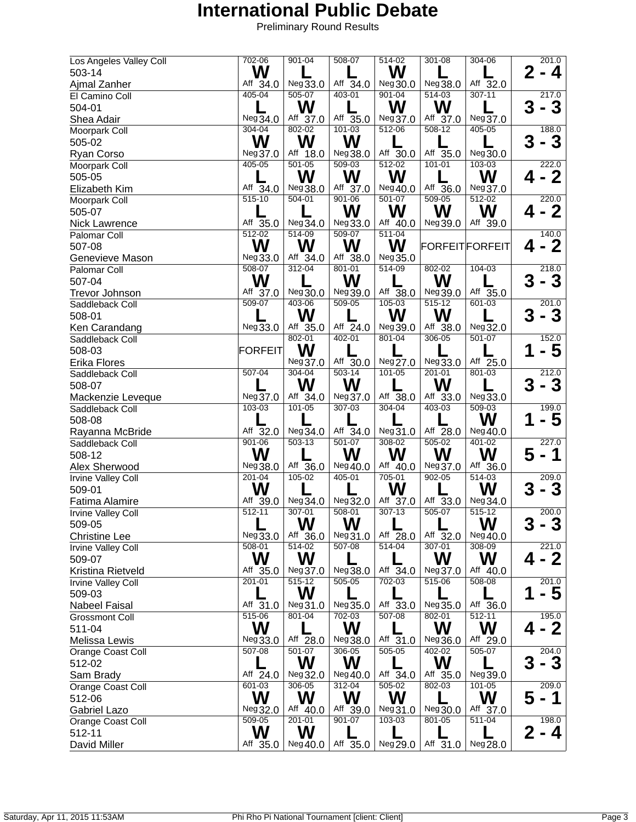| Los Angeles Valley Coll | 702-06         | $901 - 04$ | 508-07                | $514 - 02$ | $301 - 08$     | 304-06                |          | 201.0        |
|-------------------------|----------------|------------|-----------------------|------------|----------------|-----------------------|----------|--------------|
| 503-14                  | W              |            |                       | W          |                |                       | 2<br>- 4 |              |
| Ajmal Zanher            | Aff $34.0$     | Neg 33.0   | Aff $\overline{34.0}$ | Neg 30.0   | Neg38.0        | Aff $\overline{32.0}$ |          |              |
| El Camino Coll          | $405 - 04$     | $505-07$   | 403-01                | $901 - 04$ | $514 - 03$     | $307 - 11$            | 217.0    |              |
| 504-01                  |                | W          |                       | W          | W              |                       | 3<br>- 3 |              |
| Shea Adair              | Neg 34.0       | Aff 37.0   | Aff 35.0              | Neg 37.0   | Aff 37.0       | Neg 37.0              |          |              |
| Moorpark Coll           | 304-04         | 802-02     | 101-03                | $512 - 06$ | 508-12         | 405-05                | 188.0    |              |
| 505-02                  | W              | W          | W                     |            |                |                       | 3        | 3            |
|                         |                |            |                       |            |                |                       |          |              |
| Ryan Corso              | Neg 37.0       | Aff 18.0   | Neg 38.0              | Aff 30.0   | Aff 35.0       | Neg 30.0              |          |              |
| Moorpark Coll           | $405 - 05$     | $501 - 05$ | $509-03$              | $512 - 02$ | $101 - 01$     | $103 - 03$            | 222.0    |              |
| 505-05                  |                | W          | W                     | W          |                | W                     | 4        | -2           |
| Elizabeth Kim           | Aff 34.0       | Neg 38.0   | Aff 37.0              | Neg 40.0   | Aff 36.0       | Neg 37.0              |          |              |
| Moorpark Coll           | 515-10         | $504 - 01$ | $901 - 06$            | $501 - 07$ | 509-05         | $512 - 02$            | 220.0    |              |
| 505-07                  |                |            | W                     | W          | W              | W                     | - 2      |              |
| <b>Nick Lawrence</b>    | Aff 35.0       | Neg 34.0   | Neg33.0               | Aff 40.0   | Neg 39.0       | Aff 39.0              |          |              |
| Palomar Coll            | $512 - 02$     | $514 - 09$ | 509-07                | $511 - 04$ |                |                       |          | 140.0        |
| 507-08                  | W              | W          | W                     | W          | FORFEITFORFEIT |                       | Δ.       | $\mathbf 2$  |
| Genevieve Mason         | Neg33.0        | Aff 34.0   | Aff 38.0              | Neg 35.0   |                |                       |          |              |
| Palomar Coll            | $508 - 07$     | 312-04     | 801-01                | 514-09     | 802-02         | 104-03                | 218.0    |              |
| 507-04                  | W              |            | W                     |            | W              |                       | 3<br>- 3 |              |
|                         | Aff 37.0       | Neg 30.0   | Neg 39.0              | Aff 38.0   | Neg 39.0       | Aff 35.0              |          |              |
| <b>Trevor Johnson</b>   | $509-07$       | 403-06     | $509-05$              | $105 - 03$ | $515 - 12$     | $601 - 03$            | 201.0    |              |
| Saddleback Coll         |                |            |                       |            |                |                       |          |              |
| 508-01                  |                | W          |                       | W          | W              |                       | 3        | 3            |
| Ken Carandang           | Neg 33.0       | Aff 35.0   | Aff 24.0              | Neg 39.0   | Aff 38.0       | Neg 32.0              |          |              |
| Saddleback Coll         |                | $802 - 01$ | $402 - 01$            | 801-04     | 306-05         | $501 - 07$            | 152.0    |              |
| 508-03                  | <b>FORFEIT</b> | W          |                       |            |                |                       |          | -5           |
| Erika Flores            |                | Neg 37.0   | Aff 30.0              | Neg 27.0   | Neg33.0        | Aff 25.0              |          |              |
| Saddleback Coll         | $507 - 04$     | 304-04     | $503 - 14$            | 101-05     | 201-01         | $801 - 03$            | 212.0    |              |
| 508-07                  |                | W          | W                     |            | W              |                       | 3        | 3            |
| Mackenzie Leveque       | Neg 37.0       | Aff 34.0   | Neg37.0               | Aff 38.0   | Aff 33.0       | Neg33.0               |          |              |
| Saddleback Coll         | $103 - 03$     | $101 - 05$ | 307-03                | $304 - 04$ | 403-03         | $509 - 03$            |          | 199.0        |
| 508-08                  |                |            |                       |            |                | W                     |          | -5           |
| Rayanna McBride         | Aff 32.0       | Neg 34.0   | Aff $34.0$            | Neg 31.0   | Aff 28.0       | Neg 40.0              |          |              |
| Saddleback Coll         | $901 - 06$     | $503 - 13$ | $501 - 07$            | $308 - 02$ | $505 - 02$     | $401 - 02$            | 227.0    |              |
| 508-12                  | W              |            | W                     | W          | W              | W                     | 5<br>- 1 |              |
| Alex Sherwood           | Neg 38.0       | Aff 36.0   | Neg 40.0              | Aff 40.0   | Neg 37.0       | Aff 36.0              |          |              |
|                         | $201 - 04$     | $105 - 02$ | 405-01                | 705-01     | $902 - 05$     | $514 - 03$            | 209.0    |              |
| Irvine Valley Coll      | W              |            |                       | W          |                |                       |          |              |
| 509-01                  |                |            |                       |            |                | W                     | 3        | 3            |
| Fatima Alamire          | Aff 39.0       | Neg34.0    | Neg 32.0              | Aff 37.0   | Aff 33.0       | Neg 34.0              |          |              |
| Irvine Valley Coll      | $512 - 11$     | 307-01     | $508 - 01$            | $307 - 13$ | 505-07         | $515 - 12$            | 200.0    |              |
| 509-05                  |                | W          | W                     |            |                | W                     | - 3      |              |
| <b>Christine Lee</b>    | Neg33.0        | Aff 36.0   | Neg31.0               | Aff 28.0   | Aff 32.0       | Neg 40.0              |          |              |
| Irvine Valley Coll      | $508 - 01$     | $514 - 02$ | $507 - 08$            | $514 - 04$ | $307 - 01$     | $308 - 09$            |          | 221.0        |
| 509-07                  | W              | W          |                       |            | W              | W                     |          | $\mathbf{2}$ |
| Kristina Rietveld       | Aff 35.0       | Neg 37.0   | Neg 38.0              | Aff 34.0   | Neg 37.0       | Aff 40.0              |          |              |
| Irvine Valley Coll      | $201 - 01$     | $515 - 12$ | $505 - 05$            | 702-03     | 515-06         | $508 - 08$            | 201.0    |              |
| 509-03                  |                | W          |                       |            |                |                       |          | - 5          |
| <b>Nabeel Faisal</b>    | Aff 31.0       | Neg31.0    | Neg 35.0              | Aff 33.0   | Neg35.0        | Aff 36.0              |          |              |
| <b>Grossmont Coll</b>   | 515-06         | 801-04     | $702 - 03$            | $507 - 08$ | 802-01         | $512 - 11$            | 195.0    |              |
| 511-04                  | W              |            | W                     |            | W              | W                     |          | - 2          |
| Melissa Lewis           | Neg 33.0       | Aff 28.0   | Neg 38.0              | Aff 31.0   | Neg 36.0       | Aff 29.0              |          |              |
| Orange Coast Coll       | $507 - 08$     | 501-07     | $306 - 05$            | 505-05     | 402-02         | 505-07                |          | 204.0        |
|                         |                | W          | W                     |            | W              |                       | 3        |              |
| 512-02                  |                |            |                       |            |                |                       | - 3      |              |
| Sam Brady               | Aff 24.0       | Neg 32.0   | Neg 40.0              | Aff 34.0   | Aff 35.0       | Neg 39.0              |          |              |
| Orange Coast Coll       | $601 - 03$     | 306-05     | 312-04                | $505 - 02$ | 802-03         | $101 - 05$            |          | 209.0        |
| 512-06                  | W              | W          | W                     | W          |                | W                     | 5<br>- 1 |              |
| <b>Gabriel Lazo</b>     | Neg 32.0       | Aff 40.0   | Aff 39.0              | Neg31.0    | Neg 30.0       | Aff 37.0              |          |              |
| Orange Coast Coll       | 509-05         | $201 - 01$ | $901 - 07$            | 103-03     | 801-05         | $511 - 04$            |          | 198.0        |
| 512-11                  | W              | W          |                       |            |                |                       | 2        | - 4          |
| David Miller            | Aff 35.0       | Neg40.0    | Aff 35.0              | Neg 29.0   | Aff 31.0       | Neg 28.0              |          |              |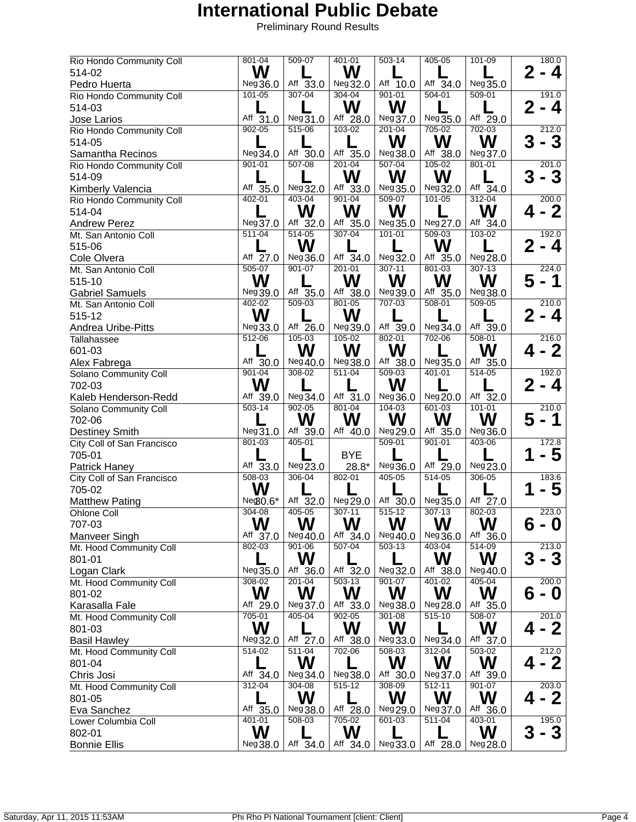| Rio Hondo Community Coll   | $801 - 04$             | 509-07               | $401 - 01$             | $503 - 14$            | 405-05                 | $101 - 09$             | 180.0               |
|----------------------------|------------------------|----------------------|------------------------|-----------------------|------------------------|------------------------|---------------------|
| 514-02                     | W                      |                      | W                      |                       |                        |                        | 2<br>- 4            |
| Pedro Huerta               | Neg36.0                | Aff 33.0             | Neg 32.0               | Aff $\overline{10.0}$ | Aff 34.0               | Neg 35.0               |                     |
| Rio Hondo Community Coll   | 101-05                 | $307 - 04$           | $304 - 04$             | $901 - 01$            | $504 - 01$             | $509 - 01$             | 191.0               |
| 514-03                     |                        |                      | W                      | W                     |                        |                        | $2 - 4$             |
| Jose Larios                | Aff 31.0               | Neg31.0              | Aff 28.0               | Neg 37.0              | Neg 35.0               | Aff 29.0               |                     |
| Rio Hondo Community Coll   | $902 - 05$             | 515-06               | $103 - 02$             | 201-04                | 705-02                 | $702 - 03$             | 212.0               |
| 514-05                     |                        |                      |                        | W                     | W                      | W                      | 3<br>- 3            |
| Samantha Recinos           | Neg 34.0               | Aff 30.0             | Aff 35.0               | Neg 38.0              | Aff 38.0               | Neg 37.0               |                     |
| Rio Hondo Community Coll   | 901-01                 | 507-08               | $201 - 04$             | $507 - 04$            | $105 - 02$             | $801 - 01$             | 201.0               |
| 514-09                     |                        |                      | W                      | W                     | W                      |                        | 3<br>- 3            |
| Kimberly Valencia          | Aff 35.0               | Neg 32.0             | Aff 33.0               | Neg35.0               | Neg 32.0               | Aff 34.0               |                     |
| Rio Hondo Community Coll   | $402 - 01$             | $403 - 04$           | $901 - 04$             | $509-07$              | $101 - 05$             | $312 - 04$             | 200.0               |
| 514-04                     |                        | W                    | W                      | W                     |                        | W                      | - 2<br>Δ            |
| <b>Andrew Perez</b>        | Neg 37.0               | Aff 32.0             | Aff 35.0               | Neg35.0               | Neg 27.0               | Aff 34.0               |                     |
| Mt. San Antonio Coll       | $511 - 04$             | $514 - 05$           | $307 - 04$             | $101 - 01$            | $509-03$               | $103 - 02$             | 192.0               |
| 515-06                     |                        | W                    |                        |                       | W                      |                        | 2<br>- 4            |
| Cole Olvera                | Aff 27.0               | Neg 36.0             | Aff $\overline{3}4.0$  | Neg 32.0              | Aff <sup>35.0</sup>    | Neg 28.0               |                     |
| Mt. San Antonio Coll       | $505-07$               | $901 - 07$           | $201 - 01$             | $307 - 11$            | 801-03                 | $307 - 13$             | 224.0               |
| 515-10                     | W                      |                      | W                      | W                     | W                      | W                      | 5<br>- 1            |
|                            |                        |                      |                        |                       |                        |                        |                     |
| <b>Gabriel Samuels</b>     | Neg 39.0<br>$402 - 02$ | Aff 35.0<br>$509-03$ | Aff 38.0<br>$801 - 05$ | Neg 39.0<br>707-03    | Aff 35.0<br>$508 - 01$ | Neg 38.0<br>$509 - 05$ |                     |
| Mt. San Antonio Coll       |                        |                      |                        |                       |                        |                        | 210.0               |
| 515-12                     | W                      |                      | W                      |                       |                        |                        | 2<br>4              |
| Andrea Uribe-Pitts         | Neg 33.0               | Aff 26.0             | Neg 39.0               | Aff 39.0              | Neg34.0                | Aff 39.0               |                     |
| Tallahassee                | $512 - 06$             | $105 - 03$           | $105 - 02$             | 802-01                | 702-06                 | $508 - 01$             | 216.0               |
| 601-03                     |                        | W                    | W                      | W                     |                        | W                      | Δ.                  |
| Alex Fabrega               | Aff 30.0               | Neg 40.0             | Neg 38.0               | Aff 38.0              | Neg 35.0               | Aff 35.0               |                     |
| Solano Community Coll      | $901 - 04$             | 308-02               | $511 - 04$             | $509-03$              | 401-01                 | 514-05                 | 192.0               |
| 702-03                     | W                      |                      |                        | W                     |                        |                        | $\mathbf{2}$<br>- 4 |
| Kaleb Henderson-Redd       | Aff 39.0               | Neg 34.0             | Aff 31.0               | Neg 36.0              | Neg 20.0               | Aff 32.0               |                     |
| Solano Community Coll      | $503 - 14$             | $902 - 05$           | $801 - 04$             | $104 - 03$            | $601 - 03$             | $101 - 01$             | 210.0               |
| 702-06                     |                        | W                    | W                      | W                     | W                      | W                      | 5<br>1              |
| <b>Destiney Smith</b>      | Neg 31.0               | Aff 39.0             | Aff 40.0               | Neg 29.0              | Aff 35.0               | Neg 36.0               |                     |
| City Coll of San Francisco | $801 - 03$             | $405 - 01$           |                        | $509 - 01$            | $901 - 01$             | $403 - 06$             | 172.8               |
| 705-01                     |                        |                      | <b>BYE</b>             |                       |                        |                        | - 5                 |
| <b>Patrick Haney</b>       | Aff 33.0               | Neg 23.0             | 28.8*                  | Neg 36.0              | Aff 29.0               | Neg23.0                |                     |
| City Coll of San Francisco | $508 - 03$             | 306-04               | 802-01                 | 405-05                | $514 - 05$             | 306-05                 | 183.6               |
| 705-02                     | W                      |                      |                        |                       |                        |                        | 5                   |
| <b>Matthew Pating</b>      | Ne $$0.6*$             | Aff 32.0             | Neg 29.0               | Aff 30.0              | Neg 35.0               | Aff 27.0               |                     |
| Ohlone Coll                | 304-08                 | 405-05               | $307 - 11$             | $515-12$              | $307 - 13$             | 802-03                 | 223.0               |
| 707-03                     | W                      | W                    | W                      | W                     | W                      | W                      | 6 - 0               |
| Manveer Singh              | Aff 37.0               | Neg 40.0             | Aff 34.0               | Neg 40.0              | Neg 36.0               | Aff 36.0               |                     |
| Mt. Hood Community Coll    | $802 - 03$             | $901 - 06$           | $507 - 04$             | $503 - 13$            | 403-04                 | $514 - 09$             | 213.0               |
| 801-01                     |                        | W                    |                        |                       | W                      | W                      | 3<br>- 3            |
| Logan Clark                | Neg 35.0               | Aff 36.0             | Aff 32.0               | Neg 32.0              | Aff 38.0               | Neg 40.0               |                     |
| Mt. Hood Community Coll    | 308-02                 | $201 - 04$           | $503 - 13$             | $901 - 07$            | $401 - 02$             | $405 - 04$             | 200.0               |
| 801-02                     | W                      | W                    | W                      | W                     | W                      | W                      | 6<br>0              |
| Karasalla Fale             | Aff 29.0               | Neg 37.0             | Aff 33.0               | Neg 38.0              | Neg 28.0               | Aff 35.0               |                     |
| Mt. Hood Community Coll    | 705-01                 | 405-04               | $902 - 05$             | 301-08                | $515 - 10$             | 508-07                 | 201.0               |
| 801-03                     | W                      |                      | W                      | W                     |                        | W                      | - 2<br>Д            |
| <b>Basil Hawley</b>        | Neg 32.0               | Aff 27.0             | Aff 38.0               | Neg 33.0              | Neg34.0                | Aff 37.0               |                     |
| Mt. Hood Community Coll    | 514-02                 | $511 - 04$           | 702-06                 | 508-03                | 312-04                 | 503-02                 | 212.0               |
| 801-04                     |                        | W                    |                        | W                     | W                      | W                      | - 2<br>Д            |
| Chris Josi                 | Aff 34.0               | Neg 34.0             | Neg 38.0               | Aff 30.0              | Neg 37.0               | Aff 39.0               |                     |
| Mt. Hood Community Coll    | $312 - 04$             | $304 - 08$           | $515-12$               | 308-09                | $512 - 11$             | $901 - 07$             | 203.0               |
| 801-05                     |                        | W                    |                        | W                     | W                      | W                      | - 2<br>4            |
| Eva Sanchez                | Aff 35.0               | Neg 38.0             | Aff 28.0               | Neg 29.0              | Neg 37.0               | Aff 36.0               |                     |
| Lower Columbia Coll        | 401-01                 | 508-03               | 705-02                 | 601-03                | 511-04                 | 403-01                 | 195.0               |
| 802-01                     | W                      |                      | W                      |                       |                        | W                      | $\mathbf{3}$<br>3   |
| <b>Bonnie Ellis</b>        | Neg 38.0               | Aff 34.0             | Aff 34.0               | Neg 33.0              | Aff 28.0               | Neg 28.0               |                     |
|                            |                        |                      |                        |                       |                        |                        |                     |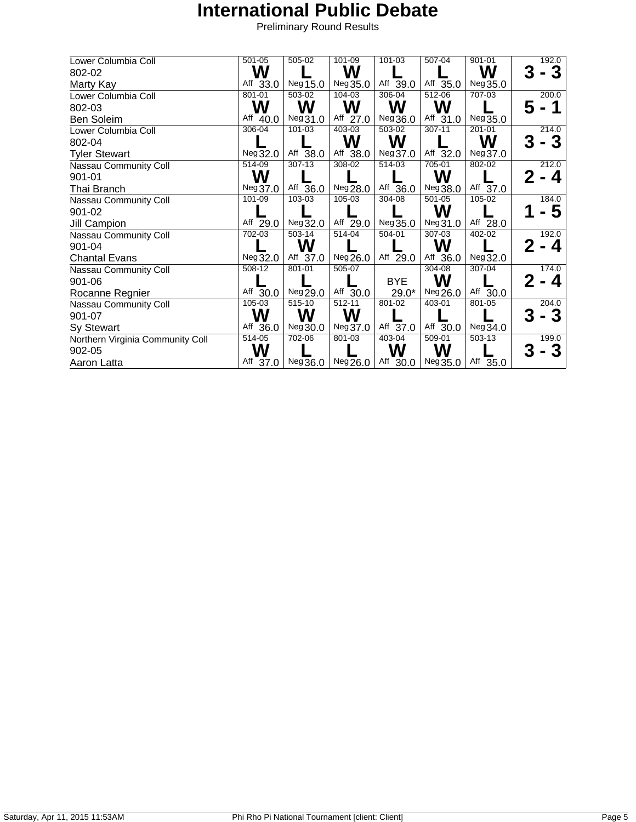| Lower Columbia Coll              | 501-05     | 505-02     | 101-09     | 101-03                | 507-04     | 901-01     | 192.0  |
|----------------------------------|------------|------------|------------|-----------------------|------------|------------|--------|
| 802-02                           | W          |            | W          |                       |            | W          | 3<br>۰ |
| Marty Kay                        | Aff 33.0   | Neg 15.0   | Neg 35.0   | Aff $39.0$            | Aff 35.0   | Neg 35.0   |        |
| Lower Columbia Coll              | $801 - 01$ | $503-02$   | $104 - 03$ | $306 - 04$            | $512 - 06$ | 707-03     | 200.0  |
| 802-03                           | W          | W          | W          | W                     | W          |            |        |
| Ben Soleim                       | Aff 40.0   | Neg31.0    | Aff 27.0   | Neg 36.0              | Aff 31.0   | Neg 35.0   |        |
| Lower Columbia Coll              | 306-04     | 101-03     | 403-03     | 503-02                | 307-11     | $201 - 01$ | 214.0  |
| 802-04                           |            |            | W          | W                     |            | W          | 3<br>3 |
| <b>Tyler Stewart</b>             | Neg 32.0   | Aff 38.0   | Aff 38.0   | Neg 37.0              | Aff 32.0   | Neg 37.0   |        |
| Nassau Community Coll            | 514-09     | 307-13     | 308-02     | 514-03                | 705-01     | $802 - 02$ | 212.0  |
| 901-01                           | W          |            |            |                       | W          |            | 4      |
| Thai Branch                      | Neg 37.0   | Aff 36.0   | Neg 28.0   | Aff 36.0              | Neg 38.0   | Aff 37.0   |        |
| Nassau Community Coll            | 101-09     | 103-03     | 105-03     | 304-08                | 501-05     | $105 - 02$ | 184.0  |
| 901-02                           |            |            |            |                       | W          |            |        |
| Jill Campion                     | Aff 29.0   | Neg 32.0   | Aff 29.0   | Neg35.0               | Neg31.0    | Aff 28.0   |        |
| Nassau Community Coll            | $702 - 03$ | $503 - 14$ | $514 - 04$ | $\overline{504} - 01$ | 307-03     | $402 - 02$ | 192.0  |
| 901-04                           |            | W          |            |                       | W          |            | Δ.     |
| <b>Chantal Evans</b>             | Neg32.0    | Aff 37.0   | Neg 26.0   | Aff 29.0              | Aff 36.0   | Neg 32.0   |        |
| Nassau Community Coll            | 508-12     | 801-01     | 505-07     |                       | 304-08     | $307 - 04$ | 174.0  |
| 901-06                           |            |            |            | <b>BYE</b>            | W          |            | Δ.     |
| Rocanne Regnier                  | Aff 30.0   | Neg 29.0   | Aff 30.0   | $29.0*$               | Neg 26.0   | Aff 30.0   |        |
| Nassau Community Coll            | 105-03     | 515-10     | $512 - 11$ | 801-02                | 403-01     | $801 - 05$ | 204.0  |
| 901-07                           | W          | W          | W          |                       |            |            | 3      |
| Sy Stewart                       | Aff 36.0   | Neg 30.0   | Neg 37.0   | Aff 37.0              | Aff 30.0   | Neg 34.0   |        |
| Northern Virginia Community Coll | 514-05     | 702-06     | 801-03     | 403-04                | 509-01     | 503-13     | 199.0  |
| 902-05                           | W          |            |            | W                     | W          |            | 3      |
| Aaron Latta                      | Aff 37.0   | Neg 36.0   | Neg 26.0   | Aff 30.0              | Neg35.0    | Aff 35.0   |        |